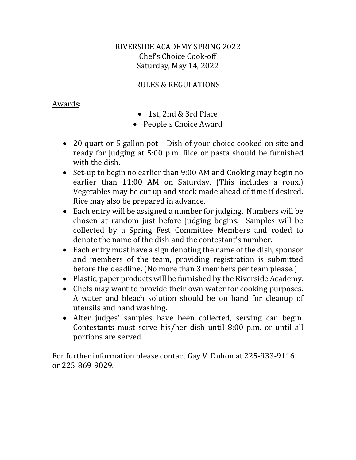# RIVERSIDE ACADEMY SPRING 2022 Chef's Choice Cook-off Saturday, May 14, 2022

# RULES & REGULATIONS

#### Awards:

- 1st, 2nd & 3rd Place
- People's Choice Award
- 20 quart or 5 gallon pot Dish of your choice cooked on site and ready for judging at 5:00 p.m. Rice or pasta should be furnished with the dish.
- Set-up to begin no earlier than 9:00 AM and Cooking may begin no earlier than 11:00 AM on Saturday. (This includes a roux.) Vegetables may be cut up and stock made ahead of time if desired. Rice may also be prepared in advance.
- Each entry will be assigned a number for judging. Numbers will be chosen at random just before judging begins. Samples will be collected by a Spring Fest Committee Members and coded to denote the name of the dish and the contestant's number.
- Each entry must have a sign denoting the name of the dish, sponsor and members of the team, providing registration is submitted before the deadline. (No more than 3 members per team please.)
- Plastic, paper products will be furnished by the Riverside Academy.
- Chefs may want to provide their own water for cooking purposes. A water and bleach solution should be on hand for cleanup of utensils and hand washing.
- After judges' samples have been collected, serving can begin. Contestants must serve his/her dish until 8:00 p.m. or until all portions are served.

For further information please contact Gay V. Duhon at 225-933-9116 or 225-869-9029.